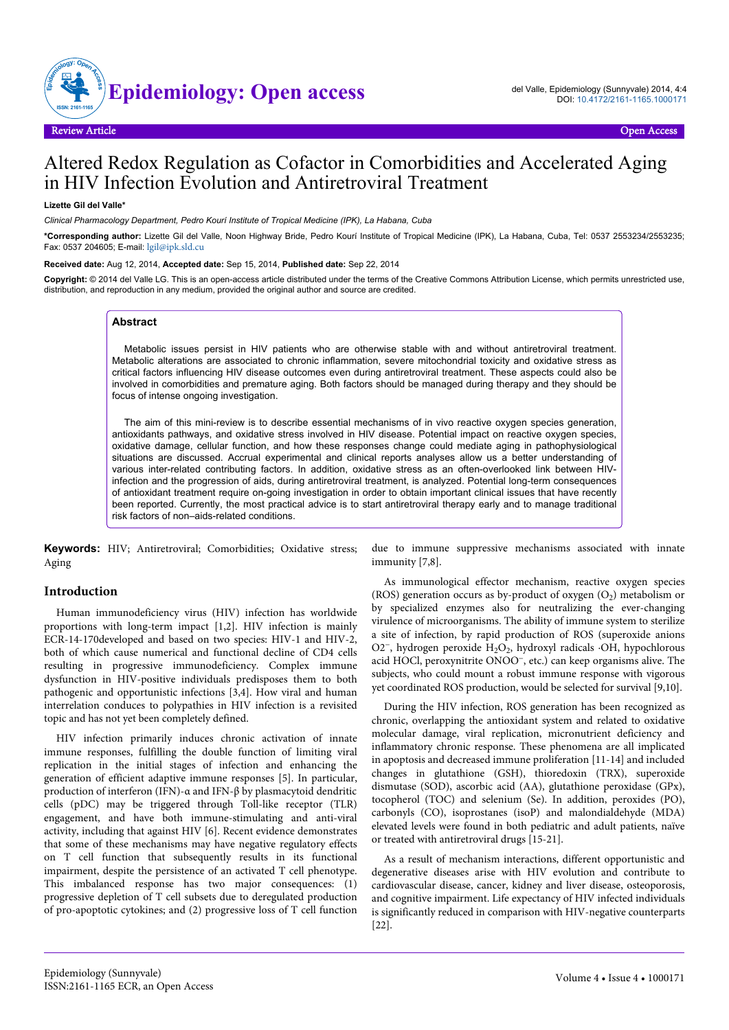

# Altered Redox Regulation as Cofactor in Comorbidities and Accelerated Aging in HIV Infection Evolution and Antiretroviral Treatment

#### **Lizette Gil del Valle\***

*Clinical Pharmacology Department, Pedro Kourí Institute of Tropical Medicine (IPK), La Habana, Cuba*

**\*Corresponding author:** Lizette Gil del Valle, Noon Highway Bride, Pedro Kourí Institute of Tropical Medicine (IPK), La Habana, Cuba, Tel: 0537 2553234/2553235; Fax: 0537 204605; E-mail: [lgil@ipk.sld.cu](mailto:lgil@ipk.sld.cu)

#### **Received date:** Aug 12, 2014, **Accepted date:** Sep 15, 2014, **Published date:** Sep 22, 2014

**Copyright:** © 2014 del Valle LG. This is an open-access article distributed under the terms of the Creative Commons Attribution License, which permits unrestricted use, distribution, and reproduction in any medium, provided the original author and source are credited.

#### **Abstract**

Metabolic issues persist in HIV patients who are otherwise stable with and without antiretroviral treatment. Metabolic alterations are associated to chronic inflammation, severe mitochondrial toxicity and oxidative stress as critical factors influencing HIV disease outcomes even during antiretroviral treatment. These aspects could also be involved in comorbidities and premature aging. Both factors should be managed during therapy and they should be focus of intense ongoing investigation.

The aim of this mini-review is to describe essential mechanisms of in vivo reactive oxygen species generation, antioxidants pathways, and oxidative stress involved in HIV disease. Potential impact on reactive oxygen species, oxidative damage, cellular function, and how these responses change could mediate aging in pathophysiological situations are discussed. Accrual experimental and clinical reports analyses allow us a better understanding of various inter-related contributing factors. In addition, oxidative stress as an often-overlooked link between HIVinfection and the progression of aids, during antiretroviral treatment, is analyzed. Potential long-term consequences of antioxidant treatment require on-going investigation in order to obtain important clinical issues that have recently been reported. Currently, the most practical advice is to start antiretroviral therapy early and to manage traditional risk factors of non–aids-related conditions.

**Keywords:** HIV; Antiretroviral; Comorbidities; Oxidative stress; Aging

## **Introduction**

Human immunodeficiency virus (HIV) infection has worldwide proportions with long-term impact [1,2]. HIV infection is mainly ECR-14-170developed and based on two species: HIV-1 and HIV-2, both of which cause numerical and functional decline of CD4 cells resulting in progressive immunodeficiency. Complex immune dysfunction in HIV-positive individuals predisposes them to both pathogenic and opportunistic infections [3,4]. How viral and human interrelation conduces to polypathies in HIV infection is a revisited topic and has not yet been completely defined.

HIV infection primarily induces chronic activation of innate immune responses, fulfilling the double function of limiting viral replication in the initial stages of infection and enhancing the generation of efficient adaptive immune responses [5]. In particular, production of interferon (IFN)-α and IFN-β by plasmacytoid dendritic cells (pDC) may be triggered through Toll-like receptor (TLR) engagement, and have both immune-stimulating and anti-viral activity, including that against HIV [6]. Recent evidence demonstrates that some of these mechanisms may have negative regulatory effects on T cell function that subsequently results in its functional impairment, despite the persistence of an activated T cell phenotype. This imbalanced response has two major consequences: (1) progressive depletion of T cell subsets due to deregulated production of pro-apoptotic cytokines; and (2) progressive loss of T cell function

due to immune suppressive mechanisms associated with innate immunity [7,8].

As immunological effector mechanism, reactive oxygen species (ROS) generation occurs as by-product of oxygen  $(O_2)$  metabolism or by specialized enzymes also for neutralizing the ever-changing virulence of microorganisms. The ability of immune system to sterilize a site of infection, by rapid production of ROS (superoxide anions O2<sup>-</sup>, hydrogen peroxide H<sub>2</sub>O<sub>2</sub>, hydroxyl radicals ·OH, hypochlorous acid HOCl, peroxynitrite ONOO<sup>−</sup> , etc.) can keep organisms alive. The subjects, who could mount a robust immune response with vigorous yet coordinated ROS production, would be selected for survival [9,10].

During the HIV infection, ROS generation has been recognized as chronic, overlapping the antioxidant system and related to oxidative molecular damage, viral replication, micronutrient deficiency and inflammatory chronic response. These phenomena are all implicated in apoptosis and decreased immune proliferation [11-14] and included changes in glutathione (GSH), thioredoxin (TRX), superoxide dismutase (SOD), ascorbic acid (AA), glutathione peroxidase (GPx), tocopherol (TOC) and selenium (Se). In addition, peroxides (PO), carbonyls (CO), isoprostanes (isoP) and malondialdehyde (MDA) elevated levels were found in both pediatric and adult patients, naïve or treated with antiretroviral drugs [15-21].

As a result of mechanism interactions, different opportunistic and degenerative diseases arise with HIV evolution and contribute to cardiovascular disease, cancer, kidney and liver disease, osteoporosis, and cognitive impairment. Life expectancy of HIV infected individuals is significantly reduced in comparison with HIV-negative counterparts [22].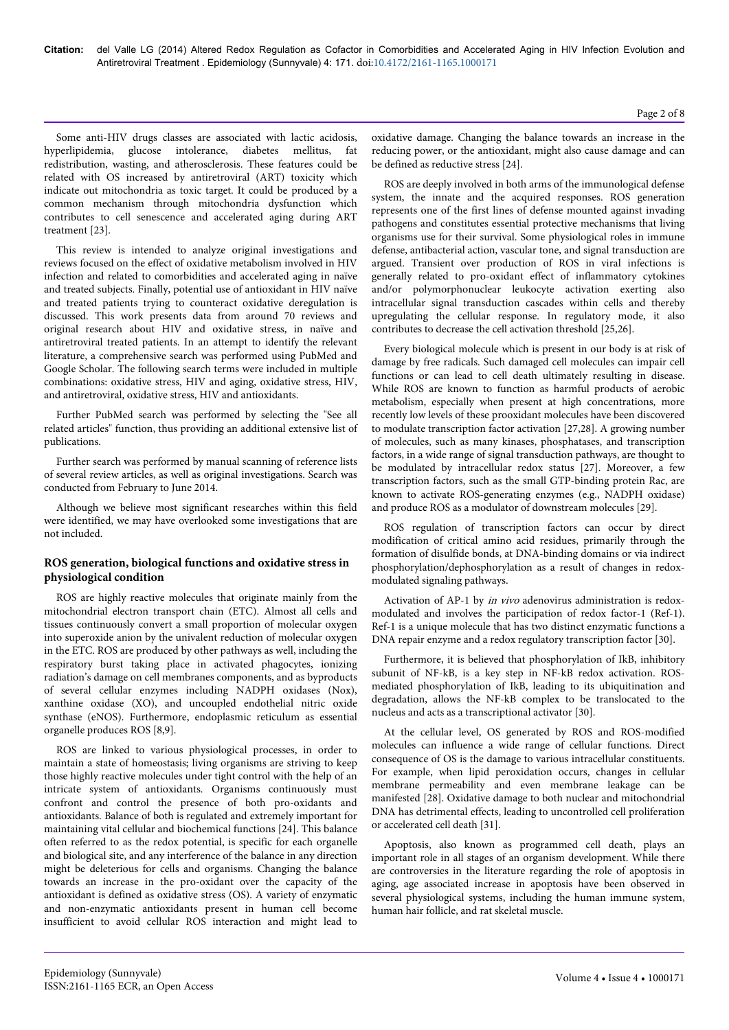Some anti-HIV drugs classes are associated with lactic acidosis, hyperlipidemia, glucose intolerance, diabetes mellitus, fat redistribution, wasting, and atherosclerosis. These features could be related with OS increased by antiretroviral (ART) toxicity which indicate out mitochondria as toxic target. It could be produced by a common mechanism through mitochondria dysfunction which contributes to cell senescence and accelerated aging during ART treatment [23].

This review is intended to analyze original investigations and reviews focused on the effect of oxidative metabolism involved in HIV infection and related to comorbidities and accelerated aging in naïve and treated subjects. Finally, potential use of antioxidant in HIV naïve and treated patients trying to counteract oxidative deregulation is discussed. This work presents data from around 70 reviews and original research about HIV and oxidative stress, in naïve and antiretroviral treated patients. In an attempt to identify the relevant literature, a comprehensive search was performed using PubMed and Google Scholar. The following search terms were included in multiple combinations: oxidative stress, HIV and aging, oxidative stress, HIV, and antiretroviral, oxidative stress, HIV and antioxidants.

Further PubMed search was performed by selecting the "See all related articles" function, thus providing an additional extensive list of publications.

Further search was performed by manual scanning of reference lists of several review articles, as well as original investigations. Search was conducted from February to June 2014.

Although we believe most significant researches within this field were identified, we may have overlooked some investigations that are not included.

# **ROS generation, biological functions and oxidative stress in physiological condition**

ROS are highly reactive molecules that originate mainly from the mitochondrial electron transport chain (ETC). Almost all cells and tissues continuously convert a small proportion of molecular oxygen into superoxide anion by the univalent reduction of molecular oxygen in the ETC. ROS are produced by other pathways as well, including the respiratory burst taking place in activated phagocytes, ionizing radiation's damage on cell membranes components, and as byproducts of several cellular enzymes including NADPH oxidases (Nox), xanthine oxidase (XO), and uncoupled endothelial nitric oxide synthase (eNOS). Furthermore, endoplasmic reticulum as essential organelle produces ROS [8,9].

ROS are linked to various physiological processes, in order to maintain a state of homeostasis; living organisms are striving to keep those highly reactive molecules under tight control with the help of an intricate system of antioxidants. Organisms continuously must confront and control the presence of both pro-oxidants and antioxidants. Balance of both is regulated and extremely important for maintaining vital cellular and biochemical functions [24]. This balance often referred to as the redox potential, is specific for each organelle and biological site, and any interference of the balance in any direction might be deleterious for cells and organisms. Changing the balance towards an increase in the pro-oxidant over the capacity of the antioxidant is defined as oxidative stress (OS). A variety of enzymatic and non-enzymatic antioxidants present in human cell become insufficient to avoid cellular ROS interaction and might lead to oxidative damage. Changing the balance towards an increase in the reducing power, or the antioxidant, might also cause damage and can be defined as reductive stress [24].

ROS are deeply involved in both arms of the immunological defense system, the innate and the acquired responses. ROS generation represents one of the first lines of defense mounted against invading pathogens and constitutes essential protective mechanisms that living organisms use for their survival. Some physiological roles in immune defense, antibacterial action, vascular tone, and signal transduction are argued. Transient over production of ROS in viral infections is generally related to pro-oxidant effect of inflammatory cytokines and/or polymorphonuclear leukocyte activation exerting also intracellular signal transduction cascades within cells and thereby upregulating the cellular response. In regulatory mode, it also contributes to decrease the cell activation threshold [25,26].

Every biological molecule which is present in our body is at risk of damage by free radicals. Such damaged cell molecules can impair cell functions or can lead to cell death ultimately resulting in disease. While ROS are known to function as harmful products of aerobic metabolism, especially when present at high concentrations, more recently low levels of these prooxidant molecules have been discovered to modulate transcription factor activation [27,28]. A growing number of molecules, such as many kinases, phosphatases, and transcription factors, in a wide range of signal transduction pathways, are thought to be modulated by intracellular redox status [27]. Moreover, a few transcription factors, such as the small GTP-binding protein Rac, are known to activate ROS-generating enzymes (e.g., NADPH oxidase) and produce ROS as a modulator of downstream molecules [29].

ROS regulation of transcription factors can occur by direct modification of critical amino acid residues, primarily through the formation of disulfide bonds, at DNA-binding domains or via indirect phosphorylation/dephosphorylation as a result of changes in redoxmodulated signaling pathways.

Activation of AP-1 by in vivo adenovirus administration is redoxmodulated and involves the participation of redox factor-1 (Ref-1). Ref-1 is a unique molecule that has two distinct enzymatic functions a DNA repair enzyme and a redox regulatory transcription factor [30].

Furthermore, it is believed that phosphorylation of IkB, inhibitory subunit of NF-kB, is a key step in NF-kB redox activation. ROSmediated phosphorylation of IkB, leading to its ubiquitination and degradation, allows the NF-kB complex to be translocated to the nucleus and acts as a transcriptional activator [30].

At the cellular level, OS generated by ROS and ROS-modified molecules can influence a wide range of cellular functions. Direct consequence of OS is the damage to various intracellular constituents. For example, when lipid peroxidation occurs, changes in cellular membrane permeability and even membrane leakage can be manifested [28]. Oxidative damage to both nuclear and mitochondrial DNA has detrimental effects, leading to uncontrolled cell proliferation or accelerated cell death [31].

Apoptosis, also known as programmed cell death, plays an important role in all stages of an organism development. While there are controversies in the literature regarding the role of apoptosis in aging, age associated increase in apoptosis have been observed in several physiological systems, including the human immune system, human hair follicle, and rat skeletal muscle.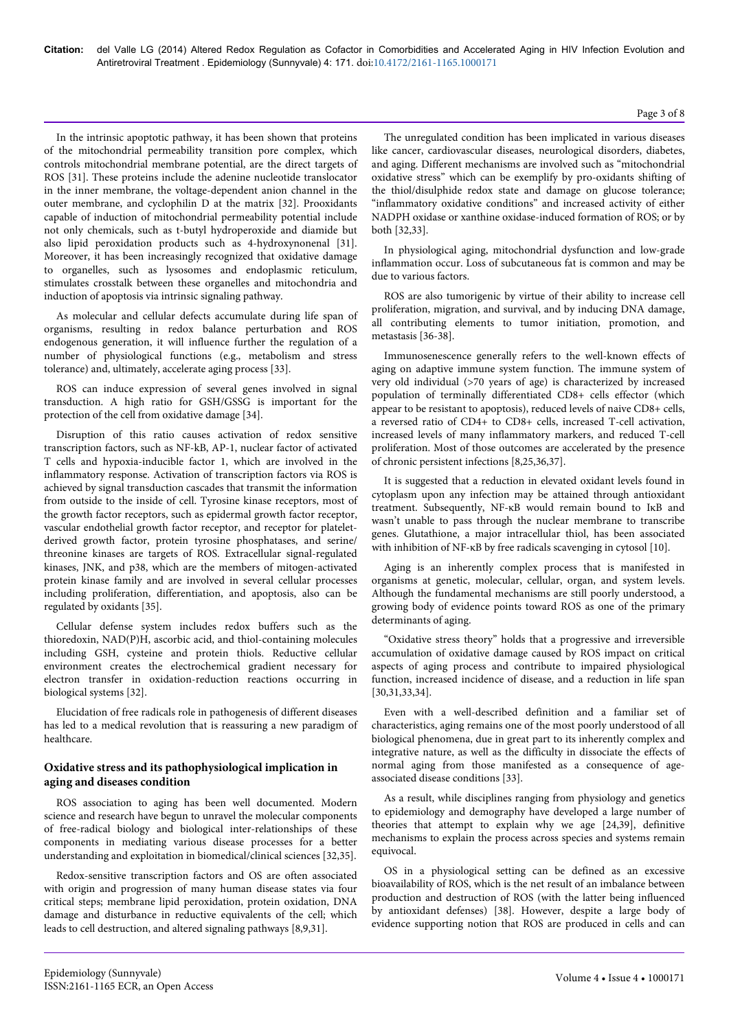In the intrinsic apoptotic pathway, it has been shown that proteins of the mitochondrial permeability transition pore complex, which controls mitochondrial membrane potential, are the direct targets of ROS [31]. These proteins include the adenine nucleotide translocator in the inner membrane, the voltage-dependent anion channel in the outer membrane, and cyclophilin D at the matrix [32]. Prooxidants capable of induction of mitochondrial permeability potential include not only chemicals, such as t-butyl hydroperoxide and diamide but also lipid peroxidation products such as 4-hydroxynonenal [31]. Moreover, it has been increasingly recognized that oxidative damage to organelles, such as lysosomes and endoplasmic reticulum, stimulates crosstalk between these organelles and mitochondria and induction of apoptosis via intrinsic signaling pathway.

As molecular and cellular defects accumulate during life span of organisms, resulting in redox balance perturbation and ROS endogenous generation, it will influence further the regulation of a number of physiological functions (e.g., metabolism and stress tolerance) and, ultimately, accelerate aging process [33].

ROS can induce expression of several genes involved in signal transduction. A high ratio for GSH/GSSG is important for the protection of the cell from oxidative damage [34].

Disruption of this ratio causes activation of redox sensitive transcription factors, such as NF-kB, AP-1, nuclear factor of activated T cells and hypoxia-inducible factor 1, which are involved in the inflammatory response. Activation of transcription factors via ROS is achieved by signal transduction cascades that transmit the information from outside to the inside of cell. Tyrosine kinase receptors, most of the growth factor receptors, such as epidermal growth factor receptor, vascular endothelial growth factor receptor, and receptor for plateletderived growth factor, protein tyrosine phosphatases, and serine/ threonine kinases are targets of ROS. Extracellular signal-regulated kinases, JNK, and p38, which are the members of mitogen-activated protein kinase family and are involved in several cellular processes including proliferation, differentiation, and apoptosis, also can be regulated by oxidants [35].

Cellular defense system includes redox buffers such as the thioredoxin, NAD(P)H, ascorbic acid, and thiol-containing molecules including GSH, cysteine and protein thiols. Reductive cellular environment creates the electrochemical gradient necessary for electron transfer in oxidation-reduction reactions occurring in biological systems [32].

Elucidation of free radicals role in pathogenesis of different diseases has led to a medical revolution that is reassuring a new paradigm of healthcare.

## **Oxidative stress and its pathophysiological implication in aging and diseases condition**

ROS association to aging has been well documented. Modern science and research have begun to unravel the molecular components of free-radical biology and biological inter-relationships of these components in mediating various disease processes for a better understanding and exploitation in biomedical/clinical sciences [32,35].

Redox-sensitive transcription factors and OS are often associated with origin and progression of many human disease states via four critical steps; membrane lipid peroxidation, protein oxidation, DNA damage and disturbance in reductive equivalents of the cell; which leads to cell destruction, and altered signaling pathways [8,9,31].

The unregulated condition has been implicated in various diseases like cancer, cardiovascular diseases, neurological disorders, diabetes, and aging. Different mechanisms are involved such as "mitochondrial oxidative stress" which can be exemplify by pro-oxidants shifting of the thiol/disulphide redox state and damage on glucose tolerance; "inflammatory oxidative conditions" and increased activity of either NADPH oxidase or xanthine oxidase-induced formation of ROS; or by both [32,33].

In physiological aging, mitochondrial dysfunction and low-grade inflammation occur. Loss of subcutaneous fat is common and may be due to various factors.

ROS are also tumorigenic by virtue of their ability to increase cell proliferation, migration, and survival, and by inducing DNA damage, all contributing elements to tumor initiation, promotion, and metastasis [36-38].

Immunosenescence generally refers to the well-known effects of aging on adaptive immune system function. The immune system of very old individual (>70 years of age) is characterized by increased population of terminally differentiated CD8+ cells effector (which appear to be resistant to apoptosis), reduced levels of naive CD8+ cells, a reversed ratio of CD4+ to CD8+ cells, increased T-cell activation, increased levels of many inflammatory markers, and reduced T-cell proliferation. Most of those outcomes are accelerated by the presence of chronic persistent infections [8,25,36,37].

It is suggested that a reduction in elevated oxidant levels found in cytoplasm upon any infection may be attained through antioxidant treatment. Subsequently, NF-κB would remain bound to IκB and wasn't unable to pass through the nuclear membrane to transcribe genes. Glutathione, a major intracellular thiol, has been associated with inhibition of NF-κB by free radicals scavenging in cytosol [10].

Aging is an inherently complex process that is manifested in organisms at genetic, molecular, cellular, organ, and system levels. Although the fundamental mechanisms are still poorly understood, a growing body of evidence points toward ROS as one of the primary determinants of aging.

"Oxidative stress theory" holds that a progressive and irreversible accumulation of oxidative damage caused by ROS impact on critical aspects of aging process and contribute to impaired physiological function, increased incidence of disease, and a reduction in life span [30,31,33,34].

Even with a well-described definition and a familiar set of characteristics, aging remains one of the most poorly understood of all biological phenomena, due in great part to its inherently complex and integrative nature, as well as the difficulty in dissociate the effects of normal aging from those manifested as a consequence of ageassociated disease conditions [33].

As a result, while disciplines ranging from physiology and genetics to epidemiology and demography have developed a large number of theories that attempt to explain why we age [24,39], definitive mechanisms to explain the process across species and systems remain equivocal.

OS in a physiological setting can be defined as an excessive bioavailability of ROS, which is the net result of an imbalance between production and destruction of ROS (with the latter being influenced by antioxidant defenses) [38]. However, despite a large body of evidence supporting notion that ROS are produced in cells and can

## Page 3 of 8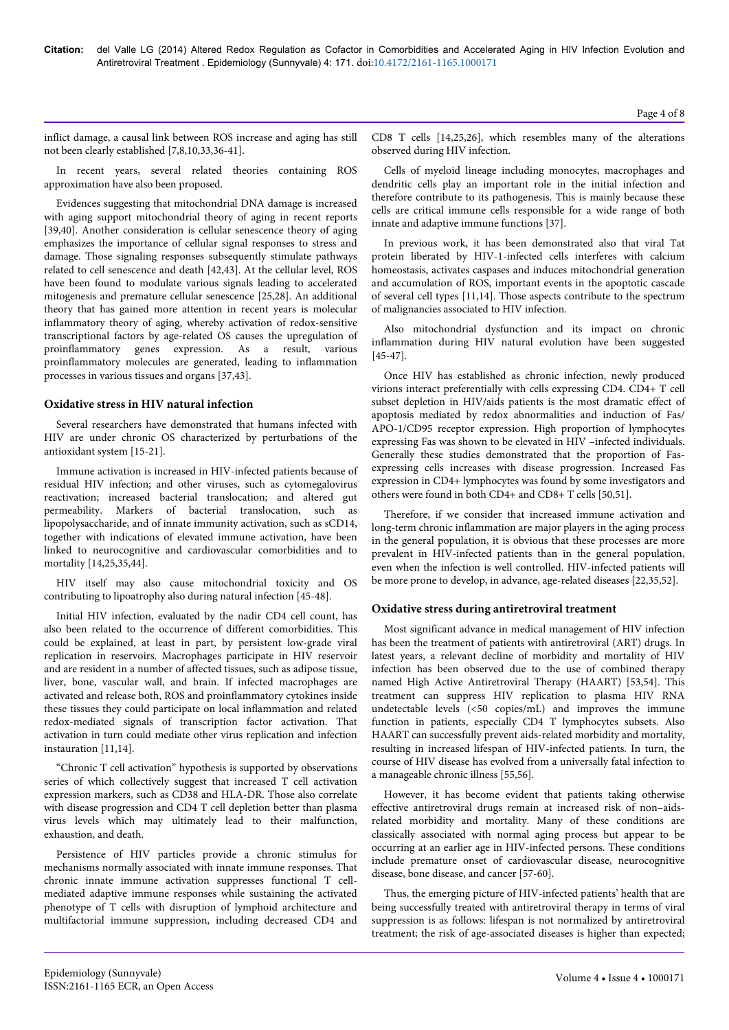inflict damage, a causal link between ROS increase and aging has still not been clearly established [7,8,10,33,36-41].

In recent years, several related theories containing ROS approximation have also been proposed.

Evidences suggesting that mitochondrial DNA damage is increased with aging support mitochondrial theory of aging in recent reports [39,40]. Another consideration is cellular senescence theory of aging emphasizes the importance of cellular signal responses to stress and damage. Those signaling responses subsequently stimulate pathways related to cell senescence and death [42,43]. At the cellular level, ROS have been found to modulate various signals leading to accelerated mitogenesis and premature cellular senescence [25,28]. An additional theory that has gained more attention in recent years is molecular inflammatory theory of aging, whereby activation of redox-sensitive transcriptional factors by age-related OS causes the upregulation of proinflammatory genes expression. As a result, various proinflammatory molecules are generated, leading to inflammation processes in various tissues and organs [37,43].

## **Oxidative stress in HIV natural infection**

Several researchers have demonstrated that humans infected with HIV are under chronic OS characterized by perturbations of the antioxidant system [15-21].

Immune activation is increased in HIV-infected patients because of residual HIV infection; and other viruses, such as cytomegalovirus reactivation; increased bacterial translocation; and altered gut permeability. Markers of bacterial translocation, such as lipopolysaccharide, and of innate immunity activation, such as sCD14, together with indications of elevated immune activation, have been linked to neurocognitive and cardiovascular comorbidities and to mortality [14,25,35,44].

HIV itself may also cause mitochondrial toxicity and OS contributing to lipoatrophy also during natural infection [45-48].

Initial HIV infection, evaluated by the nadir CD4 cell count, has also been related to the occurrence of different comorbidities. This could be explained, at least in part, by persistent low-grade viral replication in reservoirs. Macrophages participate in HIV reservoir and are resident in a number of affected tissues, such as adipose tissue, liver, bone, vascular wall, and brain. If infected macrophages are activated and release both, ROS and proinflammatory cytokines inside these tissues they could participate on local inflammation and related redox-mediated signals of transcription factor activation. That activation in turn could mediate other virus replication and infection instauration [11,14].

"Chronic T cell activation" hypothesis is supported by observations series of which collectively suggest that increased T cell activation expression markers, such as CD38 and HLA-DR. Those also correlate with disease progression and CD4 T cell depletion better than plasma virus levels which may ultimately lead to their malfunction, exhaustion, and death.

Persistence of HIV particles provide a chronic stimulus for mechanisms normally associated with innate immune responses. That chronic innate immune activation suppresses functional T cellmediated adaptive immune responses while sustaining the activated phenotype of T cells with disruption of lymphoid architecture and multifactorial immune suppression, including decreased CD4 and

CD8 T cells [14,25,26], which resembles many of the alterations observed during HIV infection.

Cells of myeloid lineage including monocytes, macrophages and dendritic cells play an important role in the initial infection and therefore contribute to its pathogenesis. This is mainly because these cells are critical immune cells responsible for a wide range of both innate and adaptive immune functions [37].

In previous work, it has been demonstrated also that viral Tat protein liberated by HIV-1-infected cells interferes with calcium homeostasis, activates caspases and induces mitochondrial generation and accumulation of ROS, important events in the apoptotic cascade of several cell types [11,14]. Those aspects contribute to the spectrum of malignancies associated to HIV infection.

Also mitochondrial dysfunction and its impact on chronic inflammation during HIV natural evolution have been suggested [45-47].

Once HIV has established as chronic infection, newly produced virions interact preferentially with cells expressing CD4. CD4+ T cell subset depletion in HIV/aids patients is the most dramatic effect of apoptosis mediated by redox abnormalities and induction of Fas/ APO-1/CD95 receptor expression. High proportion of lymphocytes expressing Fas was shown to be elevated in HIV –infected individuals. Generally these studies demonstrated that the proportion of Fasexpressing cells increases with disease progression. Increased Fas expression in CD4+ lymphocytes was found by some investigators and others were found in both CD4+ and CD8+ T cells [50,51].

Therefore, if we consider that increased immune activation and long-term chronic inflammation are major players in the aging process in the general population, it is obvious that these processes are more prevalent in HIV-infected patients than in the general population, even when the infection is well controlled. HIV-infected patients will be more prone to develop, in advance, age-related diseases [22,35,52].

## **Oxidative stress during antiretroviral treatment**

Most significant advance in medical management of HIV infection has been the treatment of patients with antiretroviral (ART) drugs. In latest years, a relevant decline of morbidity and mortality of HIV infection has been observed due to the use of combined therapy named High Active Antiretroviral Therapy (HAART) [53,54]. This treatment can suppress HIV replication to plasma HIV RNA undetectable levels (<50 copies/mL) and improves the immune function in patients, especially CD4 T lymphocytes subsets. Also HAART can successfully prevent aids-related morbidity and mortality, resulting in increased lifespan of HIV-infected patients. In turn, the course of HIV disease has evolved from a universally fatal infection to a manageable chronic illness [55,56].

However, it has become evident that patients taking otherwise effective antiretroviral drugs remain at increased risk of non–aidsrelated morbidity and mortality. Many of these conditions are classically associated with normal aging process but appear to be occurring at an earlier age in HIV-infected persons. These conditions include premature onset of cardiovascular disease, neurocognitive disease, bone disease, and cancer [57-60].

Thus, the emerging picture of HIV-infected patients' health that are being successfully treated with antiretroviral therapy in terms of viral suppression is as follows: lifespan is not normalized by antiretroviral treatment; the risk of age-associated diseases is higher than expected;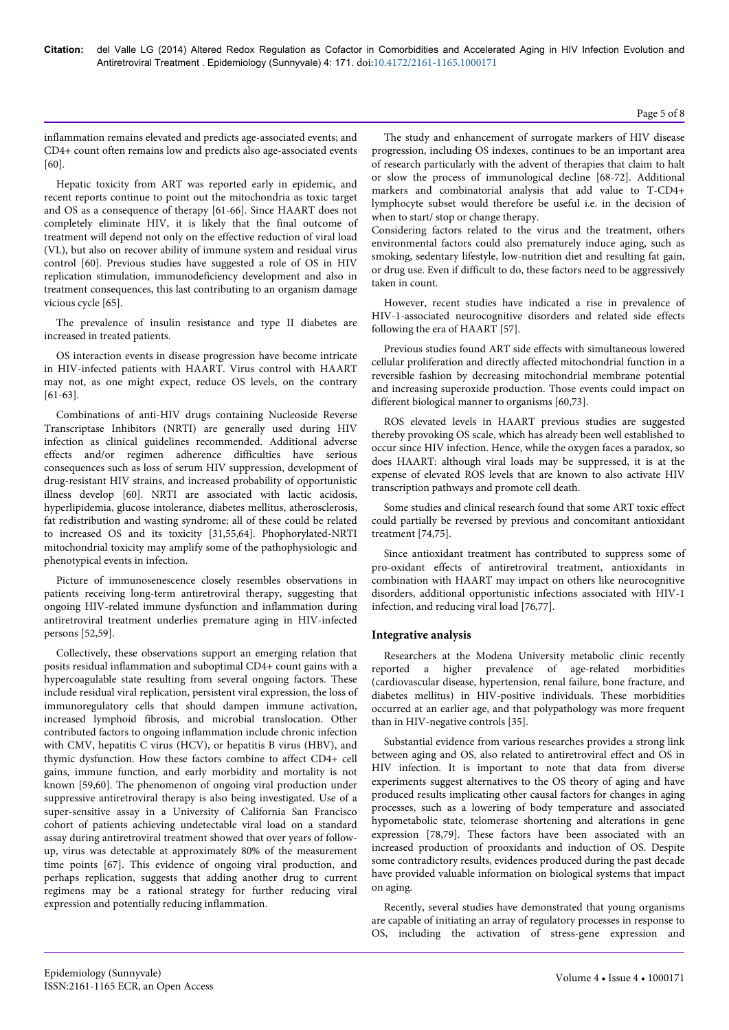## Page 5 of 8

inflammation remains elevated and predicts age-associated events; and CD4+ count often remains low and predicts also age-associated events [60].

Hepatic toxicity from ART was reported early in epidemic, and recent reports continue to point out the mitochondria as toxic target and OS as a consequence of therapy [61-66]. Since HAART does not completely eliminate HIV, it is likely that the final outcome of treatment will depend not only on the effective reduction of viral load (VL), but also on recover ability of immune system and residual virus control [60]. Previous studies have suggested a role of OS in HIV replication stimulation, immunodeficiency development and also in treatment consequences, this last contributing to an organism damage vicious cycle [65].

The prevalence of insulin resistance and type II diabetes are increased in treated patients.

OS interaction events in disease progression have become intricate in HIV-infected patients with HAART. Virus control with HAART may not, as one might expect, reduce OS levels, on the contrary [61-63].

Combinations of anti-HIV drugs containing Nucleoside Reverse Transcriptase Inhibitors (NRTI) are generally used during HIV infection as clinical guidelines recommended. Additional adverse effects and/or regimen adherence difficulties have serious consequences such as loss of serum HIV suppression, development of drug-resistant HIV strains, and increased probability of opportunistic illness develop [60]. NRTI are associated with lactic acidosis, hyperlipidemia, glucose intolerance, diabetes mellitus, atherosclerosis, fat redistribution and wasting syndrome; all of these could be related to increased OS and its toxicity [31,55,64]. Phophorylated-NRTI mitochondrial toxicity may amplify some of the pathophysiologic and phenotypical events in infection.

Picture of immunosenescence closely resembles observations in patients receiving long-term antiretroviral therapy, suggesting that ongoing HIV-related immune dysfunction and inflammation during antiretroviral treatment underlies premature aging in HIV-infected persons [52,59].

Collectively, these observations support an emerging relation that posits residual inflammation and suboptimal CD4+ count gains with a hypercoagulable state resulting from several ongoing factors. These include residual viral replication, persistent viral expression, the loss of immunoregulatory cells that should dampen immune activation, increased lymphoid fibrosis, and microbial translocation. Other contributed factors to ongoing inflammation include chronic infection with CMV, hepatitis C virus (HCV), or hepatitis B virus (HBV), and thymic dysfunction. How these factors combine to affect CD4+ cell gains, immune function, and early morbidity and mortality is not known [59,60]. The phenomenon of ongoing viral production under suppressive antiretroviral therapy is also being investigated. Use of a super-sensitive assay in a University of California San Francisco cohort of patients achieving undetectable viral load on a standard assay during antiretroviral treatment showed that over years of followup, virus was detectable at approximately 80% of the measurement time points [67]. This evidence of ongoing viral production, and perhaps replication, suggests that adding another drug to current regimens may be a rational strategy for further reducing viral expression and potentially reducing inflammation.

The study and enhancement of surrogate markers of HIV disease progression, including OS indexes, continues to be an important area of research particularly with the advent of therapies that claim to halt or slow the process of immunological decline [68-72]. Additional markers and combinatorial analysis that add value to T-CD4+ lymphocyte subset would therefore be useful i.e. in the decision of when to start/ stop or change therapy.

Considering factors related to the virus and the treatment, others environmental factors could also prematurely induce aging, such as smoking, sedentary lifestyle, low-nutrition diet and resulting fat gain, or drug use. Even if difficult to do, these factors need to be aggressively taken in count.

However, recent studies have indicated a rise in prevalence of HIV-1-associated neurocognitive disorders and related side effects following the era of HAART [57].

Previous studies found ART side effects with simultaneous lowered cellular proliferation and directly affected mitochondrial function in a reversible fashion by decreasing mitochondrial membrane potential and increasing superoxide production. Those events could impact on different biological manner to organisms [60,73].

ROS elevated levels in HAART previous studies are suggested thereby provoking OS scale, which has already been well established to occur since HIV infection. Hence, while the oxygen faces a paradox, so does HAART: although viral loads may be suppressed, it is at the expense of elevated ROS levels that are known to also activate HIV transcription pathways and promote cell death.

Some studies and clinical research found that some ART toxic effect could partially be reversed by previous and concomitant antioxidant treatment [74,75].

Since antioxidant treatment has contributed to suppress some of pro-oxidant effects of antiretroviral treatment, antioxidants in combination with HAART may impact on others like neurocognitive disorders, additional opportunistic infections associated with HIV-1 infection, and reducing viral load [76,77].

# **Integrative analysis**

Researchers at the Modena University metabolic clinic recently reported a higher prevalence of age-related morbidities (cardiovascular disease, hypertension, renal failure, bone fracture, and diabetes mellitus) in HIV-positive individuals. These morbidities occurred at an earlier age, and that polypathology was more frequent than in HIV-negative controls [35].

Substantial evidence from various researches provides a strong link between aging and OS, also related to antiretroviral effect and OS in HIV infection. It is important to note that data from diverse experiments suggest alternatives to the OS theory of aging and have produced results implicating other causal factors for changes in aging processes, such as a lowering of body temperature and associated hypometabolic state, telomerase shortening and alterations in gene expression [78,79]. These factors have been associated with an increased production of prooxidants and induction of OS. Despite some contradictory results, evidences produced during the past decade have provided valuable information on biological systems that impact on aging.

Recently, several studies have demonstrated that young organisms are capable of initiating an array of regulatory processes in response to OS, including the activation of stress-gene expression and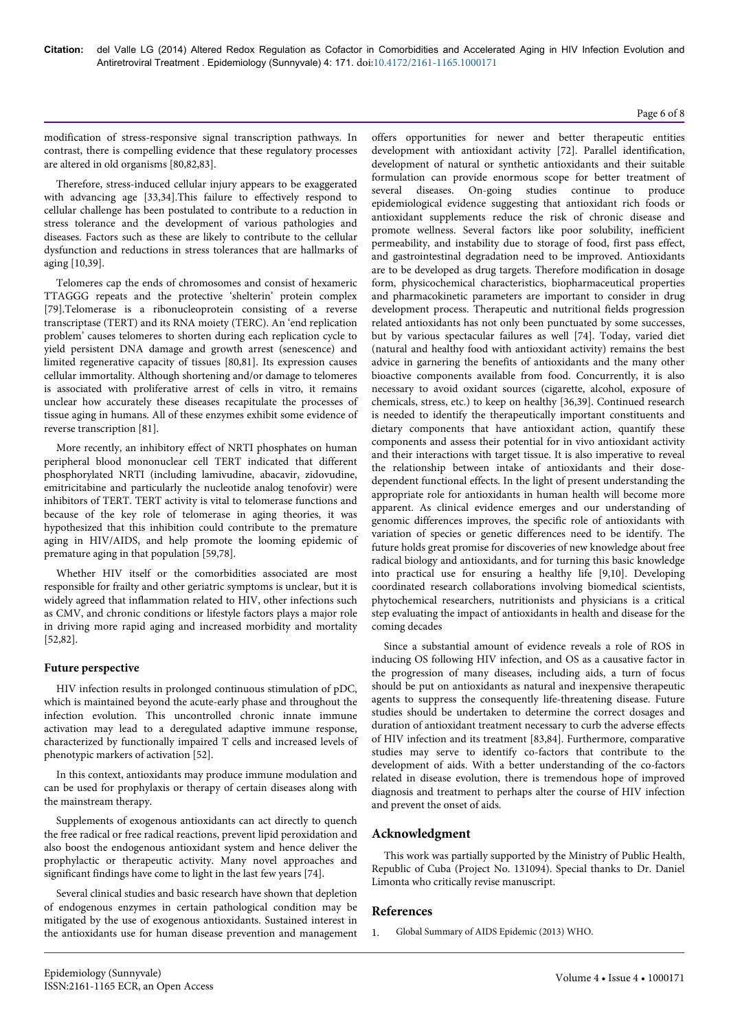#### Page 6 of 8

modification of stress-responsive signal transcription pathways. In contrast, there is compelling evidence that these regulatory processes are altered in old organisms [80,82,83].

Therefore, stress-induced cellular injury appears to be exaggerated with advancing age [33,34].This failure to effectively respond to cellular challenge has been postulated to contribute to a reduction in stress tolerance and the development of various pathologies and diseases. Factors such as these are likely to contribute to the cellular dysfunction and reductions in stress tolerances that are hallmarks of aging [10,39].

Telomeres cap the ends of chromosomes and consist of hexameric TTAGGG repeats and the protective 'shelterin' protein complex [79].Telomerase is a ribonucleoprotein consisting of a reverse transcriptase (TERT) and its RNA moiety (TERC). An 'end replication problem' causes telomeres to shorten during each replication cycle to yield persistent DNA damage and growth arrest (senescence) and limited regenerative capacity of tissues [80,81]. Its expression causes cellular immortality. Although shortening and/or damage to telomeres is associated with proliferative arrest of cells in vitro, it remains unclear how accurately these diseases recapitulate the processes of tissue aging in humans. All of these enzymes exhibit some evidence of reverse transcription [81].

More recently, an inhibitory effect of NRTI phosphates on human peripheral blood mononuclear cell TERT indicated that different phosphorylated NRTI (including lamivudine, abacavir, zidovudine, emitricitabine and particularly the nucleotide analog tenofovir) were inhibitors of TERT. TERT activity is vital to telomerase functions and because of the key role of telomerase in aging theories, it was hypothesized that this inhibition could contribute to the premature aging in HIV/AIDS, and help promote the looming epidemic of premature aging in that population [59,78].

Whether HIV itself or the comorbidities associated are most responsible for frailty and other geriatric symptoms is unclear, but it is widely agreed that inflammation related to HIV, other infections such as CMV, and chronic conditions or lifestyle factors plays a major role in driving more rapid aging and increased morbidity and mortality [52,82].

## **Future perspective**

HIV infection results in prolonged continuous stimulation of pDC, which is maintained beyond the acute-early phase and throughout the infection evolution. This uncontrolled chronic innate immune activation may lead to a deregulated adaptive immune response, characterized by functionally impaired T cells and increased levels of phenotypic markers of activation [52].

In this context, antioxidants may produce immune modulation and can be used for prophylaxis or therapy of certain diseases along with the mainstream therapy.

Supplements of exogenous antioxidants can act directly to quench the free radical or free radical reactions, prevent lipid peroxidation and also boost the endogenous antioxidant system and hence deliver the prophylactic or therapeutic activity. Many novel approaches and significant findings have come to light in the last few years [74].

Several clinical studies and basic research have shown that depletion of endogenous enzymes in certain pathological condition may be mitigated by the use of exogenous antioxidants. Sustained interest in the antioxidants use for human disease prevention and management

offers opportunities for newer and better therapeutic entities development with antioxidant activity [72]. Parallel identification, development of natural or synthetic antioxidants and their suitable formulation can provide enormous scope for better treatment of several diseases. On-going studies continue to produce epidemiological evidence suggesting that antioxidant rich foods or antioxidant supplements reduce the risk of chronic disease and promote wellness. Several factors like poor solubility, inefficient permeability, and instability due to storage of food, first pass effect, and gastrointestinal degradation need to be improved. Antioxidants are to be developed as drug targets. Therefore modification in dosage form, physicochemical characteristics, biopharmaceutical properties and pharmacokinetic parameters are important to consider in drug development process. Therapeutic and nutritional fields progression related antioxidants has not only been punctuated by some successes, but by various spectacular failures as well [74]. Today, varied diet (natural and healthy food with antioxidant activity) remains the best advice in garnering the benefits of antioxidants and the many other bioactive components available from food. Concurrently, it is also necessary to avoid oxidant sources (cigarette, alcohol, exposure of chemicals, stress, etc.) to keep on healthy [36,39]. Continued research is needed to identify the therapeutically important constituents and dietary components that have antioxidant action, quantify these components and assess their potential for in vivo antioxidant activity and their interactions with target tissue. It is also imperative to reveal the relationship between intake of antioxidants and their dosedependent functional effects. In the light of present understanding the appropriate role for antioxidants in human health will become more apparent. As clinical evidence emerges and our understanding of genomic differences improves, the specific role of antioxidants with variation of species or genetic differences need to be identify. The future holds great promise for discoveries of new knowledge about free radical biology and antioxidants, and for turning this basic knowledge into practical use for ensuring a healthy life [9,10]. Developing coordinated research collaborations involving biomedical scientists, phytochemical researchers, nutritionists and physicians is a critical step evaluating the impact of antioxidants in health and disease for the coming decades

Since a substantial amount of evidence reveals a role of ROS in inducing OS following HIV infection, and OS as a causative factor in the progression of many diseases, including aids, a turn of focus should be put on antioxidants as natural and inexpensive therapeutic agents to suppress the consequently life-threatening disease. Future studies should be undertaken to determine the correct dosages and duration of antioxidant treatment necessary to curb the adverse effects of HIV infection and its treatment [83,84]. Furthermore, comparative studies may serve to identify co-factors that contribute to the development of aids. With a better understanding of the co-factors related in disease evolution, there is tremendous hope of improved diagnosis and treatment to perhaps alter the course of HIV infection and prevent the onset of aids.

# **Acknowledgment**

This work was partially supported by the Ministry of Public Health, Republic of Cuba (Project No. 131094). Special thanks to Dr. Daniel Limonta who critically revise manuscript.

# **References**

1. [Global Summary of AIDS Epidemic \(2013\) WHO.](http://www.who.int/hiv/data/en/http:/www.who.int/hiv/data/en/)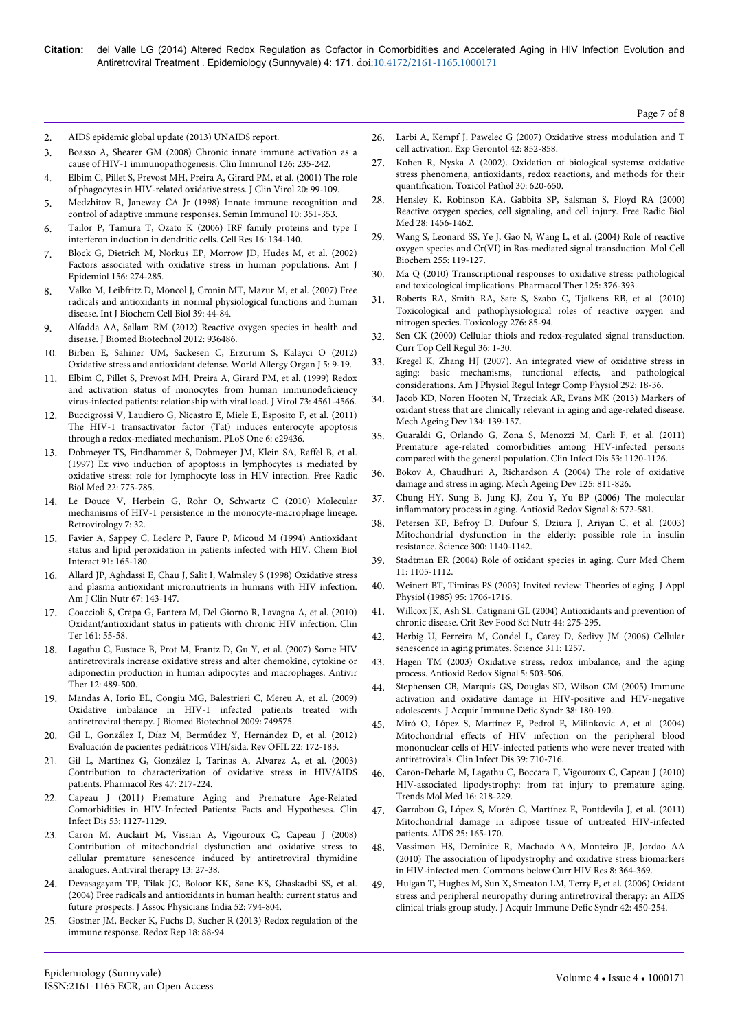2. [AIDS epidemic global update \(2013\) UNAIDS report.](http://www.unaids.org)

- 3. [Boasso A, Shearer GM \(2008\) Chronic innate immune activation as a](http://www.ncbi.nlm.nih.gov/pubmed/17916442) [cause of HIV-1 immunopathogenesis. Clin Immunol 126: 235-242.](http://www.ncbi.nlm.nih.gov/pubmed/17916442)
- 4. [Elbim C, Pillet S, Prevost MH, Preira A, Girard PM, et al. \(2001\) The role](http://www.ncbi.nlm.nih.gov/pubmed/11166656) [of phagocytes in HIV-related oxidative stress. J Clin Virol 20: 99-109.](http://www.ncbi.nlm.nih.gov/pubmed/11166656)
- 5. [Medzhitov R, Janeway CA Jr \(1998\) Innate immune recognition and](http://www.ncbi.nlm.nih.gov/pubmed/9799709) [control of adaptive immune responses. Semin Immunol 10: 351-353.](http://www.ncbi.nlm.nih.gov/pubmed/9799709)
- 6. [Tailor P, Tamura T, Ozato K \(2006\) IRF family proteins and type I](http://www.ncbi.nlm.nih.gov/pubmed/16474425) [interferon induction in dendritic cells. Cell Res 16: 134-140.](http://www.ncbi.nlm.nih.gov/pubmed/16474425)
- 7. [Block G, Dietrich M, Norkus EP, Morrow JD, Hudes M, et al. \(2002\)](http://www.ncbi.nlm.nih.gov/pubmed/12142263) [Factors associated with oxidative stress in human populations. Am J](http://www.ncbi.nlm.nih.gov/pubmed/12142263) [Epidemiol 156: 274-285.](http://www.ncbi.nlm.nih.gov/pubmed/12142263)
- 8. Valko M, Leibfritz D, Moncol J, Cronin MT, Mazur M, et al. (2007) Free radicals and antioxidants in normal physiological functions and human disease. Int J Biochem Cell Biol 39: 44-84.
- 9. [Alfadda AA, Sallam RM \(2012\) Reactive oxygen species in health and](http://www.ncbi.nlm.nih.gov/pubmed/22927725) [disease. J Biomed Biotechnol 2012: 936486.](http://www.ncbi.nlm.nih.gov/pubmed/22927725)
- 10. [Birben E, Sahiner UM, Sackesen C, Erzurum S, Kalayci O \(2012\)](http://www.ncbi.nlm.nih.gov/pubmed/23268465) [Oxidative stress and antioxidant defense. World Allergy Organ J 5: 9-19.](http://www.ncbi.nlm.nih.gov/pubmed/23268465)
- 11. [Elbim C, Pillet S, Prevost MH, Preira A, Girard PM, et al. \(1999\) Redox](http://www.ncbi.nlm.nih.gov/pubmed/10233914) [and activation status of monocytes from human immunodeficiency](http://www.ncbi.nlm.nih.gov/pubmed/10233914) [virus-infected patients: relationship with viral load. J Virol 73: 4561-4566.](http://www.ncbi.nlm.nih.gov/pubmed/10233914)
- 12. [Buccigrossi V, Laudiero G, Nicastro E, Miele E, Esposito F, et al. \(2011\)](http://www.ncbi.nlm.nih.gov/pubmed/22216281) [The HIV-1 transactivator factor \(Tat\) induces enterocyte apoptosis](http://www.ncbi.nlm.nih.gov/pubmed/22216281) [through a redox-mediated mechanism. PLoS One 6: e29436.](http://www.ncbi.nlm.nih.gov/pubmed/22216281)
- 13. [Dobmeyer TS, Findhammer S, Dobmeyer JM, Klein SA, Raffel B, et al.](http://www.ncbi.nlm.nih.gov/pubmed/9119245) [\(1997\) Ex vivo induction of apoptosis in lymphocytes is mediated by](http://www.ncbi.nlm.nih.gov/pubmed/9119245) [oxidative stress: role for lymphocyte loss in HIV infection. Free Radic](http://www.ncbi.nlm.nih.gov/pubmed/9119245) [Biol Med 22: 775-785.](http://www.ncbi.nlm.nih.gov/pubmed/9119245)
- 14. [Le Douce V, Herbein G, Rohr O, Schwartz C \(2010\) Molecular](http://www.ncbi.nlm.nih.gov/pubmed/20380694) [mechanisms of HIV-1 persistence in the monocyte-macrophage lineage.](http://www.ncbi.nlm.nih.gov/pubmed/20380694) [Retrovirology 7: 32.](http://www.ncbi.nlm.nih.gov/pubmed/20380694)
- 15. [Favier A, Sappey C, Leclerc P, Faure P, Micoud M \(1994\) Antioxidant](http://www.ncbi.nlm.nih.gov/pubmed/8194133) [status and lipid peroxidation in patients infected with HIV. Chem Biol](http://www.ncbi.nlm.nih.gov/pubmed/8194133) [Interact 91: 165-180.](http://www.ncbi.nlm.nih.gov/pubmed/8194133)
- 16. [Allard JP, Aghdassi E, Chau J, Salit I, Walmsley S \(1998\) Oxidative stress](http://www.ncbi.nlm.nih.gov/pubmed/9440389) [and plasma antioxidant micronutrients in humans with HIV infection.](http://www.ncbi.nlm.nih.gov/pubmed/9440389) [Am J Clin Nutr 67: 143-147.](http://www.ncbi.nlm.nih.gov/pubmed/9440389)
- 17. [Coaccioli S, Crapa G, Fantera M, Del Giorno R, Lavagna A, et al. \(2010\)](http://www.ncbi.nlm.nih.gov/pubmed/20393680) [Oxidant/antioxidant status in patients with chronic HIV infection. Clin](http://www.ncbi.nlm.nih.gov/pubmed/20393680) [Ter 161: 55-58.](http://www.ncbi.nlm.nih.gov/pubmed/20393680)
- 18. [Lagathu C, Eustace B, Prot M, Frantz D, Gu Y, et al. \(2007\) Some HIV](http://www.ncbi.nlm.nih.gov/pubmed/17668557) [antiretrovirals increase oxidative stress and alter chemokine, cytokine or](http://www.ncbi.nlm.nih.gov/pubmed/17668557) [adiponectin production in human adipocytes and macrophages. Antivir](http://www.ncbi.nlm.nih.gov/pubmed/17668557) [Ther 12: 489-500.](http://www.ncbi.nlm.nih.gov/pubmed/17668557)
- 19. [Mandas A, Iorio EL, Congiu MG, Balestrieri C, Mereu A, et al. \(2009\)](http://www.ncbi.nlm.nih.gov/pubmed/19884983) [Oxidative imbalance in HIV-1 infected patients treated with](http://www.ncbi.nlm.nih.gov/pubmed/19884983) [antiretroviral therapy. J Biomed Biotechnol 2009: 749575.](http://www.ncbi.nlm.nih.gov/pubmed/19884983)
- 20. Gil L, González I, Díaz M, Bermúdez Y, Hernández D, et al. (2012) Evaluación de pacientes pediátricos VIH/sida. Rev OFIL 22: 172-183.
- 21. [Gil L, Martínez G, González I, Tarinas A, Alvarez A, et al. \(2003\)](http://www.ncbi.nlm.nih.gov/pubmed/12591017) [Contribution to characterization of oxidative stress in HIV/AIDS](http://www.ncbi.nlm.nih.gov/pubmed/12591017) [patients. Pharmacol Res 47: 217-224.](http://www.ncbi.nlm.nih.gov/pubmed/12591017)
- 22. [Capeau J \(2011\) Premature Aging and Premature Age-Related](http://www.ncbi.nlm.nih.gov/pubmed/21998279) [Comorbidities in HIV-Infected Patients: Facts and Hypotheses. Clin](http://www.ncbi.nlm.nih.gov/pubmed/21998279) [Infect Dis 53: 1127-1129.](http://www.ncbi.nlm.nih.gov/pubmed/21998279)
- 23. Caron M, Auclairt M, Vissian A, Vigouroux C, Capeau J (2008) Contribution of mitochondrial dysfunction and oxidative stress to cellular premature senescence induced by antiretroviral thymidine analogues. Antiviral therapy 13: 27-38.
- 24. [Devasagayam TP, Tilak JC, Boloor KK, Sane KS, Ghaskadbi SS, et al.](http://www.ncbi.nlm.nih.gov/pubmed/15909857) [\(2004\) Free radicals and antioxidants in human health: current status and](http://www.ncbi.nlm.nih.gov/pubmed/15909857) [future prospects. J Assoc Physicians India 52: 794-804.](http://www.ncbi.nlm.nih.gov/pubmed/15909857)
- 25. [Gostner JM, Becker K, Fuchs D, Sucher R \(2013\) Redox regulation of the](http://www.ncbi.nlm.nih.gov/pubmed/23601165) [immune response. Redox Rep 18: 88-94.](http://www.ncbi.nlm.nih.gov/pubmed/23601165)
- 26. [Larbi A, Kempf J, Pawelec G \(2007\) Oxidative stress modulation and T](http://www.ncbi.nlm.nih.gov/pubmed/17604927) [cell activation. Exp Gerontol 42: 852-858.](http://www.ncbi.nlm.nih.gov/pubmed/17604927)
- 27. Kohen R, Nyska A (2002). Oxidation of biological systems: oxidative stress phenomena, antioxidants, redox reactions, and methods for their quantification. Toxicol Pathol 30: 620-650.
- 28. [Hensley K, Robinson KA, Gabbita SP, Salsman S, Floyd RA \(2000\)](http://www.ncbi.nlm.nih.gov/pubmed/10927169) [Reactive oxygen species, cell signaling, and cell injury. Free Radic Biol](http://www.ncbi.nlm.nih.gov/pubmed/10927169) [Med 28: 1456-1462.](http://www.ncbi.nlm.nih.gov/pubmed/10927169)
- 29. [Wang S, Leonard SS, Ye J, Gao N, Wang L, et al. \(2004\) Role of reactive](http://www.ncbi.nlm.nih.gov/pubmed/14971653) [oxygen species and Cr\(VI\) in Ras-mediated signal transduction. Mol Cell](http://www.ncbi.nlm.nih.gov/pubmed/14971653) [Biochem 255: 119-127.](http://www.ncbi.nlm.nih.gov/pubmed/14971653)
- 30. [Ma Q \(2010\) Transcriptional responses to oxidative stress: pathological](http://www.ncbi.nlm.nih.gov/pubmed/19945483) [and toxicological implications. Pharmacol Ther 125: 376-393.](http://www.ncbi.nlm.nih.gov/pubmed/19945483)
- 31. [Roberts RA, Smith RA, Safe S, Szabo C, Tjalkens RB, et al. \(2010\)](http://www.ncbi.nlm.nih.gov/pubmed/20643181) [Toxicological and pathophysiological roles of reactive oxygen and](http://www.ncbi.nlm.nih.gov/pubmed/20643181) [nitrogen species. Toxicology 276: 85-94.](http://www.ncbi.nlm.nih.gov/pubmed/20643181)
- 32. [Sen CK \(2000\) Cellular thiols and redox-regulated signal transduction.](http://www.ncbi.nlm.nih.gov/pubmed/10842745) [Curr Top Cell Regul 36: 1-30.](http://www.ncbi.nlm.nih.gov/pubmed/10842745)
- 33. Kregel K, Zhang HJ (2007). An integrated view of oxidative stress in aging: basic mechanisms, functional effects, and pathological considerations. Am J Physiol Regul Integr Comp Physiol 292: 18-36.
- 34. [Jacob KD, Noren Hooten N, Trzeciak AR, Evans MK \(2013\) Markers of](http://www.ncbi.nlm.nih.gov/pubmed/23428415) [oxidant stress that are clinically relevant in aging and age-related disease.](http://www.ncbi.nlm.nih.gov/pubmed/23428415) [Mech Ageing Dev 134: 139-157.](http://www.ncbi.nlm.nih.gov/pubmed/23428415)
- 35. [Guaraldi G, Orlando G, Zona S, Menozzi M, Carli F, et al. \(2011\)](http://www.ncbi.nlm.nih.gov/pubmed/21998278) [Premature age-related comorbidities among HIV-infected persons](http://www.ncbi.nlm.nih.gov/pubmed/21998278) [compared with the general population. Clin Infect Dis 53: 1120-1126.](http://www.ncbi.nlm.nih.gov/pubmed/21998278)
- 36. [Bokov A, Chaudhuri A, Richardson A \(2004\) The role of oxidative](http://www.ncbi.nlm.nih.gov/pubmed/15541775) [damage and stress in aging. Mech Ageing Dev 125: 811-826.](http://www.ncbi.nlm.nih.gov/pubmed/15541775)
- 37. [Chung HY, Sung B, Jung KJ, Zou Y, Yu BP \(2006\) The molecular](http://www.ncbi.nlm.nih.gov/pubmed/16677101) [inflammatory process in aging. Antioxid Redox Signal 8: 572-581.](http://www.ncbi.nlm.nih.gov/pubmed/16677101)
- 38. [Petersen KF, Befroy D, Dufour S, Dziura J, Ariyan C, et al. \(2003\)](http://www.ncbi.nlm.nih.gov/pubmed/12750520) [Mitochondrial dysfunction in the elderly: possible role in insulin](http://www.ncbi.nlm.nih.gov/pubmed/12750520) [resistance. Science 300: 1140-1142.](http://www.ncbi.nlm.nih.gov/pubmed/12750520)
- 39. [Stadtman ER \(2004\) Role of oxidant species in aging. Curr Med Chem](http://www.ncbi.nlm.nih.gov/pubmed/15134509) [11: 1105-1112.](http://www.ncbi.nlm.nih.gov/pubmed/15134509)
- 40. [Weinert BT, Timiras PS \(2003\) Invited review: Theories of aging. J Appl](http://www.ncbi.nlm.nih.gov/pubmed/12970376) [Physiol \(1985\) 95: 1706-1716.](http://www.ncbi.nlm.nih.gov/pubmed/12970376)
- 41. [Willcox JK, Ash SL, Catignani GL \(2004\) Antioxidants and prevention of](http://www.ncbi.nlm.nih.gov/pubmed/15462130) [chronic disease. Crit Rev Food Sci Nutr 44: 275-295.](http://www.ncbi.nlm.nih.gov/pubmed/15462130)
- 42. [Herbig U, Ferreira M, Condel L, Carey D, Sedivy JM \(2006\) Cellular](http://www.ncbi.nlm.nih.gov/pubmed/16456035) [senescence in aging primates. Science 311: 1257.](http://www.ncbi.nlm.nih.gov/pubmed/16456035)
- 43. [Hagen TM \(2003\) Oxidative stress, redox imbalance, and the aging](http://www.ncbi.nlm.nih.gov/pubmed/14580304) [process. Antioxid Redox Signal 5: 503-506.](http://www.ncbi.nlm.nih.gov/pubmed/14580304)
- 44. [Stephensen CB, Marquis GS, Douglas SD, Wilson CM \(2005\) Immune](http://www.ncbi.nlm.nih.gov/pubmed/15671803) [activation and oxidative damage in HIV-positive and HIV-negative](http://www.ncbi.nlm.nih.gov/pubmed/15671803) [adolescents. J Acquir Immune Defic Syndr 38: 180-190.](http://www.ncbi.nlm.nih.gov/pubmed/15671803)
- 45. [Miró O, López S, Martínez E, Pedrol E, Milinkovic A, et al. \(2004\)](http://www.ncbi.nlm.nih.gov/pubmed/15356787) [Mitochondrial effects of HIV infection on the peripheral blood](http://www.ncbi.nlm.nih.gov/pubmed/15356787) [mononuclear cells of HIV-infected patients who were never treated with](http://www.ncbi.nlm.nih.gov/pubmed/15356787) [antiretrovirals. Clin Infect Dis 39: 710-716.](http://www.ncbi.nlm.nih.gov/pubmed/15356787)
- 46. [Caron-Debarle M, Lagathu C, Boccara F, Vigouroux C, Capeau J \(2010\)](http://www.ncbi.nlm.nih.gov/pubmed/20400373) [HIV-associated lipodystrophy: from fat injury to premature aging.](http://www.ncbi.nlm.nih.gov/pubmed/20400373) [Trends Mol Med 16: 218-229.](http://www.ncbi.nlm.nih.gov/pubmed/20400373)
- 47. [Garrabou G, López S, Morén C, Martínez E, Fontdevila J, et al. \(2011\)](http://www.ncbi.nlm.nih.gov/pubmed/21150553) [Mitochondrial damage in adipose tissue of untreated HIV-infected](http://www.ncbi.nlm.nih.gov/pubmed/21150553) [patients. AIDS 25: 165-170.](http://www.ncbi.nlm.nih.gov/pubmed/21150553)
- 48. [Vassimon HS, Deminice R, Machado AA, Monteiro JP, Jordao AA](http://www.ncbi.nlm.nih.gov/pubmed/20353389) [\(2010\) The association of lipodystrophy and oxidative stress biomarkers](http://www.ncbi.nlm.nih.gov/pubmed/20353389) [in HIV-infected men. Commons below Curr HIV Res 8: 364-369.](http://www.ncbi.nlm.nih.gov/pubmed/20353389)
- 49. Hulgan T, Hughes M, Sun X, Smeaton LM, Terry E, et al. (2006) Oxidant stress and peripheral neuropathy during antiretroviral therapy: an AIDS clinical trials group study. J Acquir Immune Defic Syndr 42: 450-254.